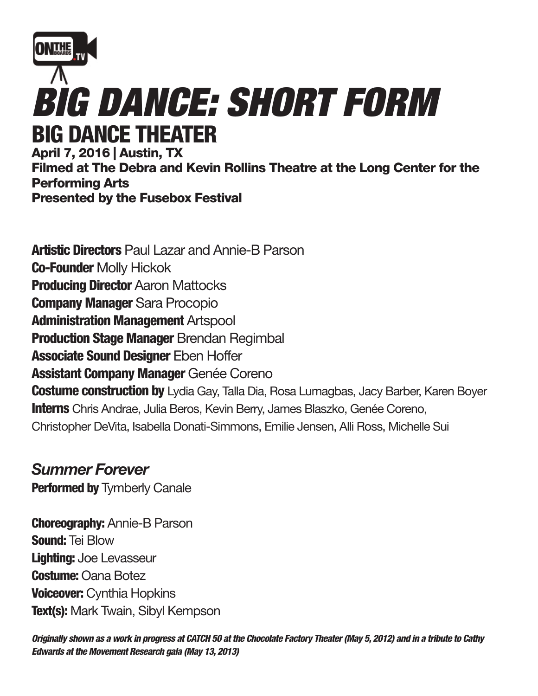

April 7, 2016 | Austin, TX Filmed at The Debra and Kevin Rollins Theatre at the Long Center for the Performing Arts Presented by the Fusebox Festival

**Artistic Directors** Paul Lazar and Annie-B Parson Co-Founder Molly Hickok **Producing Director Aaron Mattocks** Company Manager Sara Procopio Administration Management Artspool **Production Stage Manager Brendan Regimbal Associate Sound Designer Eben Hoffer Assistant Company Manager Genée Coreno Costume construction by** Lydia Gay, Talla Dia, Rosa Lumagbas, Jacy Barber, Karen Boyer Interns Chris Andrae, Julia Beros, Kevin Berry, James Blaszko, Genée Coreno, Christopher DeVita, Isabella Donati-Simmons, Emilie Jensen, Alli Ross, Michelle Sui

## *Summer Forever*

**Performed by Tymberly Canale** 

**Choreography: Annie-B Parson** Sound: Tei Blow Lighting: Joe Levasseur **Costume: Oana Botez Voiceover: Cynthia Hopkins Text(s):** Mark Twain, Sibyl Kempson

*Originally shown as a work in progress at CATCH 50 at the Chocolate Factory Theater (May 5, 2012) and in a tribute to Cathy Edwards at the Movement Research gala (May 13, 2013)*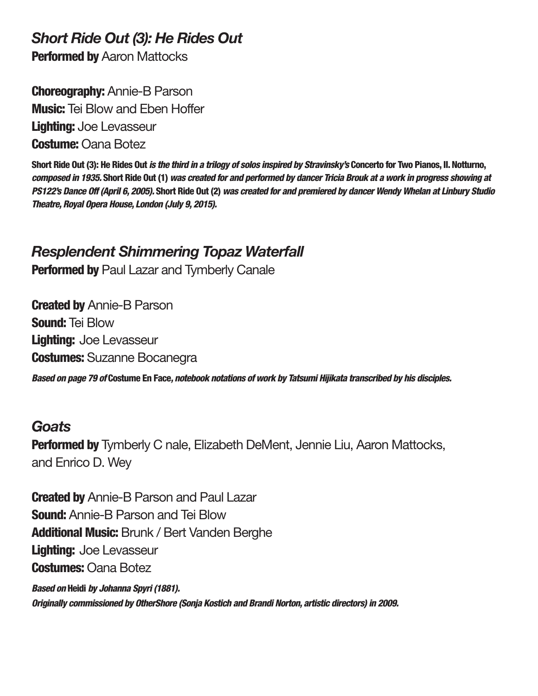*Short Ride Out (3): He Rides Out*

**Performed by Aaron Mattocks** 

Choreography: Annie-B Parson **Music:** Tei Blow and Eben Hoffer Lighting: Joe Levasseur **Costume: Oana Botez** 

Short Ride Out (3): He Rides Out *is the third in a trilogy of solos inspired by Stravinsky's* Concerto for Two Pianos, II. Notturno, *composed in 1935.* Short Ride Out (1) *was created for and performed by dancer Tricia Brouk at a work in progress showing at PS122's Dance Off (April 6, 2005).* Short Ride Out (2) *was created for and premiered by dancer Wendy Whelan at Linbury Studio Theatre, Royal Opera House, London (July 9, 2015).*

## *Resplendent Shimmering Topaz Waterfall*

Performed by Paul Lazar and Tymberly Canale

**Created by Annie-B Parson** Sound: Tei Blow Lighting: Joe Levasseur **Costumes:** Suzanne Bocanegra

*Based on page 79 of* Costume En Face*, notebook notations of work by Tatsumi Hijikata transcribed by his disciples.*

## *Goats*

**Performed by** Tymberly C nale, Elizabeth DeMent, Jennie Liu, Aaron Mattocks, and Enrico D. Wey

**Created by** Annie-B Parson and Paul Lazar **Sound:** Annie-B Parson and Tei Blow Additional Music: Brunk / Bert Vanden Berghe Lighting: Joe Levasseur Costumes: Oana Botez *Based on* Heidi *by Johanna Spyri (1881).*

*Originally commissioned by OtherShore (Sonja Kostich and Brandi Norton, artistic directors) in 2009.*